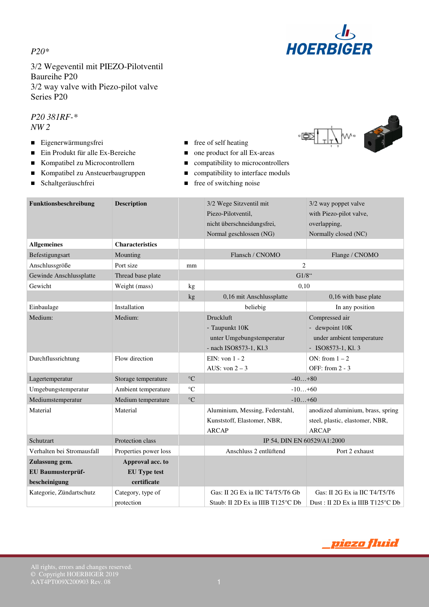*P20\**



3/2 Wegeventil mit PIEZO-Pilotventil Baureihe P20 3/2 way valve with Piezo-pilot valve Series P20

*P20 381RF-\* NW 2* 

- Eigenerwärmungsfrei **■** free of self heating
- Ein Produkt für alle Ex-Bereiche one product for all Ex-areas
- Kompatibel zu Microcontrollern compatibility to microcontrollers
- Kompatibel zu Ansteuerbaugruppen compatibility to interface moduls
- 
- 
- 
- 
- 
- Schaltgeräuschfrei **free** of switching noise



| Funktionsbeschreibung      | <b>Description</b>     |                 | 3/2 Wege Sitzventil mit<br>3/2 way poppet valve |                                   |  |  |
|----------------------------|------------------------|-----------------|-------------------------------------------------|-----------------------------------|--|--|
|                            |                        |                 | Piezo-Pilotventil.                              | with Piezo-pilot valve,           |  |  |
|                            |                        |                 | nicht überschneidungsfrei,                      | overlapping,                      |  |  |
|                            |                        |                 | Normal geschlossen (NG)                         | Normally closed (NC)              |  |  |
| <b>Allgemeines</b>         | <b>Characteristics</b> |                 |                                                 |                                   |  |  |
| Befestigungsart            | Mounting               |                 | Flansch / CNOMO<br>Flange / CNOMO               |                                   |  |  |
| Anschlussgröße             | Port size              | mm              | $\overline{c}$                                  |                                   |  |  |
| Gewinde Anschlussplatte    | Thread base plate      |                 | $G1/8$ "                                        |                                   |  |  |
| Gewicht                    | Weight (mass)          | kg              | 0,10                                            |                                   |  |  |
|                            |                        | kg              | 0,16 mit Anschlussplatte                        | 0,16 with base plate              |  |  |
| Einbaulage                 | Installation           |                 | beliebig                                        | In any position                   |  |  |
| Medium:                    | Medium:                |                 | Druckluft                                       | Compressed air                    |  |  |
|                            |                        |                 | - Taupunkt 10K                                  | - dewpoint 10K                    |  |  |
|                            |                        |                 | unter Umgebungstemperatur                       | under ambient temperature         |  |  |
|                            |                        |                 | - nach ISO8573-1, Kl.3                          | - ISO8573-1, Kl. 3                |  |  |
| Durchflussrichtung         | Flow direction         |                 | EIN: von $1 - 2$                                | ON: from $1 - 2$                  |  |  |
|                            |                        |                 | AUS: von $2 - 3$                                | OFF: from $2 - 3$                 |  |  |
| Lagertemperatur            | Storage temperature    | $\rm ^{\circ}C$ | $-40+80$                                        |                                   |  |  |
| Umgebungstemperatur        | Ambient temperature    | $\rm ^{\circ}C$ | $-10+60$                                        |                                   |  |  |
| Mediumstemperatur          | Medium temperature     | $\rm ^{\circ}C$ | $-10+60$                                        |                                   |  |  |
| Material                   | Material               |                 | Aluminium, Messing, Federstahl,                 | anodized aluminium, brass, spring |  |  |
|                            |                        |                 | Kunststoff, Elastomer, NBR,                     | steel, plastic, elastomer, NBR,   |  |  |
|                            |                        |                 | <b>ARCAP</b>                                    | <b>ARCAP</b>                      |  |  |
| Schutzart                  | Protection class       |                 | IP 54, DIN EN 60529/A1:2000                     |                                   |  |  |
| Verhalten bei Stromausfall | Properties power loss  |                 | Anschluss 2 entlüftend                          | Port 2 exhaust                    |  |  |
| Zulassung gem.             | Approval acc. to       |                 |                                                 |                                   |  |  |
| EU Baumusterprüf-          | <b>EU Type test</b>    |                 |                                                 |                                   |  |  |
| bescheinigung              | certificate            |                 |                                                 |                                   |  |  |
| Kategorie, Zündartschutz   | Category, type of      |                 | Gas: II 2G Ex ia IIC T4/T5/T6 Gb                | Gas: II 2G Ex ia IIC T4/T5/T6     |  |  |
|                            | protection             |                 | Staub: II 2D Ex ia IIIB T125 °C Db              | Dust: II 2D Ex ia IIIB T125 °C Db |  |  |
|                            |                        |                 |                                                 |                                   |  |  |

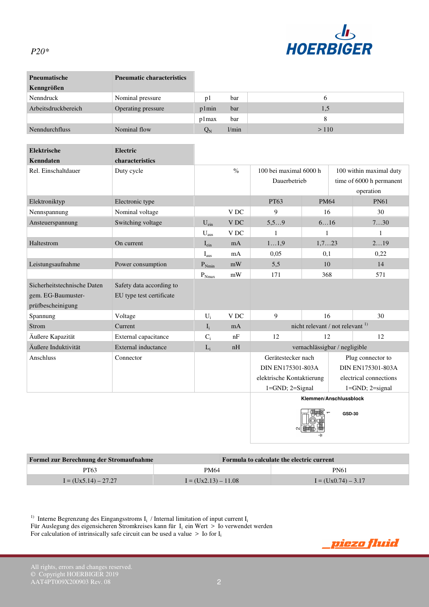

## *P20\**

| <b>Pneumatische</b> | <b>Pneumatic characteristics</b> |             |       |      |
|---------------------|----------------------------------|-------------|-------|------|
| Kenngrößen          |                                  |             |       |      |
| Nenndruck           | Nominal pressure                 | pl          | bar   |      |
| Arbeitsdruckbereich | Operating pressure               | p1min       | bar   | 1,5  |
|                     |                                  | p1max       | bar   |      |
| Nenndurchfluss      | Nominal flow                     | $Q_{\rm N}$ | 1/min | >110 |

| <b>Elektrische</b>          | Electric                 |                  |                 |                                         |                        |                         |                          |
|-----------------------------|--------------------------|------------------|-----------------|-----------------------------------------|------------------------|-------------------------|--------------------------|
| Kenndaten                   | characteristics          |                  |                 |                                         |                        |                         |                          |
| Rel. Einschaltdauer         | Duty cycle               |                  | $\frac{0}{0}$   | 100 bei maximal 6000 h                  |                        | 100 within maximal duty |                          |
|                             |                          |                  |                 | Dauerbetrieb                            |                        |                         | time of 6000 h permanent |
|                             |                          |                  |                 |                                         |                        |                         | operation                |
| Elektroniktyp               | Electronic type          |                  |                 | PT63                                    | <b>PM64</b>            |                         | <b>PN61</b>              |
| Nennspannung                | Nominal voltage          |                  | V <sub>DC</sub> | 9                                       | 16                     |                         | 30                       |
| Ansteuerspannung            | Switching voltage        | $U_{\text{ein}}$ | <b>VDC</b>      | 5.59                                    | 616                    |                         | 730                      |
|                             |                          | $U_{\text{aus}}$ | V <sub>DC</sub> | 1                                       | 1                      |                         | 1                        |
| Haltestrom                  | On current               | $I_{\text{ein}}$ | mA              | 11.9                                    | 1.723                  |                         | 219                      |
|                             |                          | $I_{\text{aus}}$ | mA              | 0,05                                    | 0,1                    |                         | 0,22                     |
| Leistungsaufnahme           | Power consumption        | $P_{Nmin}$       | mW              | 5,5                                     | 10                     |                         | 14                       |
|                             |                          | $P_{Nmax}$       | mW              | 171                                     | 368                    |                         | 571                      |
| Sicherheitstechnische Daten | Safety data according to |                  |                 |                                         |                        |                         |                          |
| gem. EG-Baumuster-          | EU type test certificate |                  |                 |                                         |                        |                         |                          |
| prüfbescheinigung           |                          |                  |                 |                                         |                        |                         |                          |
| Spannung                    | Voltage                  | $U_i$            | V <sub>DC</sub> | 9                                       | 16                     |                         | $30^{\circ}$             |
| Strom                       | <b>Current</b>           | $I_i$            | mA              | nicht relevant / not relevant $^{1}$    |                        |                         |                          |
| Äußere Kapazität            | External capacitance     | $C_i$            | nF              | 12                                      | 12                     |                         | 12                       |
| Äußere Induktivität         | External inductance      | $L_i$            | nH              | vernachlässigbar / negligible           |                        |                         |                          |
| Anschluss                   | Connector                |                  |                 | Gerätestecker nach<br>Plug connector to |                        |                         |                          |
|                             |                          |                  |                 | DIN EN175301-803A                       |                        |                         | DIN EN175301-803A        |
|                             |                          |                  |                 | elektrische Kontaktierung               |                        |                         | electrical connections   |
|                             |                          |                  |                 | $1 = GND$ ; $2 = Signal$                |                        |                         | $1 = GND$ ; $2 = signal$ |
|                             |                          |                  |                 |                                         | Klemmen/Anschlussblock |                         |                          |

**GSD-30**

| Formel zur Berechnung der Stromaufnahme |                        | Formula to calculate the electric current |  |  |
|-----------------------------------------|------------------------|-------------------------------------------|--|--|
| PT63                                    | <b>PM64</b>            | <b>PN61</b>                               |  |  |
| $I = (Ux5.14) - 27.27$                  | $I = (Ux2.13) - 11.08$ | $I = (Ux0.74) - 3.17$                     |  |  |

<sup>1)</sup> Interne Begrenzung des Eingangsstroms  $I_i$  / Internal limitation of input current  $I_i$ Für Auslegung des eigensicheren Stromkreises kann für  $I_i$  ein Wert > Io verwendet werden

For calculation of intrinsically safe circuit can be used a value  $>$  Io for  $I_i$ 

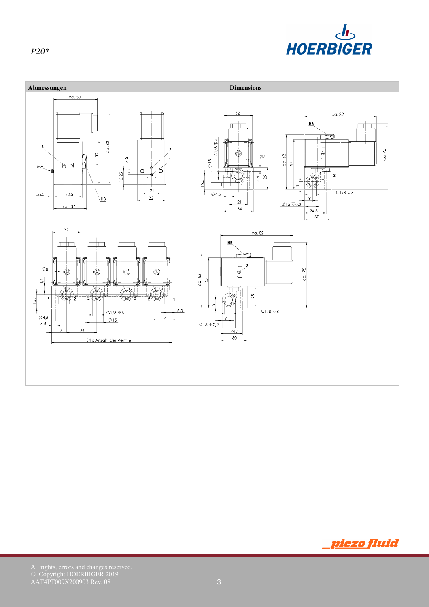



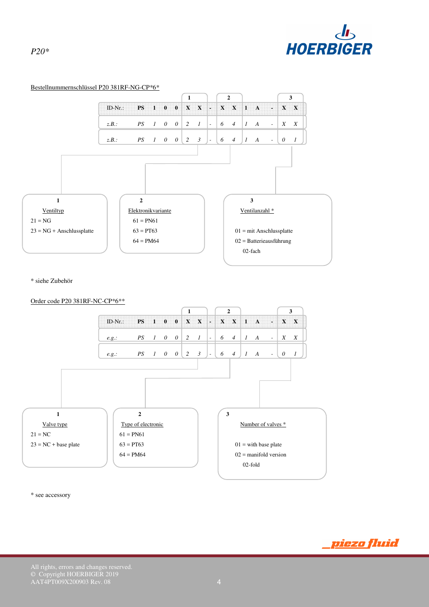

<u>piezo fluid</u>

## Bestellnummernschlüssel P20 381RF-NG-CP\*6\* **1 1 2 1 3** ID-Nr.: **PS 1 0 0 X X - X X 1 A - X X**  *z.B.: PS 1 0 0 2 1 - 6 4 1 A - X X z.B.: PS* 1 0 0 | 2 3 | - | 6 4 | 1 A - | 0 1 **1** 1 2 3 Ventiltyp Elektronikvariante Ventilanzahl \* Ventilanzahl \*  $21 = NG$  61 = PN61  $23 = NG + Anschlussplate$  63 = PT63 01 = mit Anschlussplatte  $64 = PM64$  02 = Batterieausführung  $02$ -fach  $02$ -fach  $02$ -fach  $02$ -fach  $02$ -fach  $02$ -fach  $02$ -fach  $02$ -fach  $02$ -fach  $02$ -fach  $02$ -fach  $02$ -fach  $02$ -fach  $02$ -fach  $02$ -fach  $02$ -fach  $02$ -fach  $02$ -fach  $02$ -fach  $02$ -fach  $02$ -fach  $02$ -fach

\* siehe Zubehör



\* see accessory

© Copyright HOERBIGER 2019